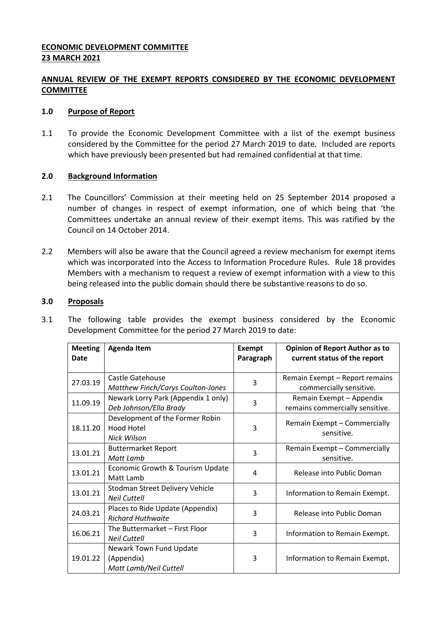# **ECONOMIC DEVELOPMENT COMMITTEE 23 MARCH 2021**

# **ANNUAL REVIEW OF THE EXEMPT REPORTS CONSIDERED BY THE ECONOMIC DEVELOPMENT COMMITTEE**

### **1.0 Purpose of Report**

1.1 To provide the Economic Development Committee with a list of the exempt business considered by the Committee for the period 27 March 2019 to date. Included are reports which have previously been presented but had remained confidential at that time.

### **2.0 Background Information**

- 2.1 The Councillors' Commission at their meeting held on 25 September 2014 proposed a number of changes in respect of exempt information, one of which being that 'the Committees undertake an annual review of their exempt items. This was ratified by the Council on 14 October 2014.
- 2.2 Members will also be aware that the Council agreed a review mechanism for exempt items which was incorporated into the Access to Information Procedure Rules. Rule 18 provides Members with a mechanism to request a review of exempt information with a view to this being released into the public domain should there be substantive reasons to do so.

# **3.0 Proposals**

3.1 The following table provides the exempt business considered by the Economic Development Committee for the period 27 March 2019 to date:

| <b>Meeting</b><br><b>Date</b> | <b>Agenda Item</b>                                              | <b>Exempt</b><br>Paragraph | <b>Opinion of Report Author as to</b><br>current status of the report |
|-------------------------------|-----------------------------------------------------------------|----------------------------|-----------------------------------------------------------------------|
|                               |                                                                 |                            |                                                                       |
| 27.03.19                      | Castle Gatehouse<br>Matthew Finch/Carys Coulton-Jones           | 3                          | Remain Exempt - Report remains<br>commercially sensitive.             |
| 11.09.19                      | Newark Lorry Park (Appendix 1 only)<br>Deb Johnson/Ella Brady   | 3                          | Remain Exempt - Appendix<br>remains commercially sensitive.           |
| 18.11.20                      | Development of the Former Robin<br>Hood Hotel<br>Nick Wilson    | 3                          | Remain Exempt - Commercially<br>sensitive.                            |
| 13.01.21                      | <b>Buttermarket Report</b><br>Matt Lamb                         | 3                          | Remain Exempt - Commercially<br>sensitive.                            |
| 13.01.21                      | Economic Growth & Tourism Update<br>Matt Lamb                   | 4                          | Release into Public Doman                                             |
| 13.01.21                      | Stodman Street Delivery Vehicle<br><b>Neil Cuttell</b>          | 3                          | Information to Remain Exempt.                                         |
| 24.03.21                      | Places to Ride Update (Appendix)<br><b>Richard Huthwaite</b>    | 3                          | Release into Public Doman                                             |
| 16.06.21                      | The Buttermarket - First Floor<br><b>Neil Cuttell</b>           | 3                          | Information to Remain Exempt.                                         |
| 19.01.22                      | Newark Town Fund Update<br>(Appendix)<br>Matt Lamb/Neil Cuttell | 3                          | Information to Remain Exempt.                                         |